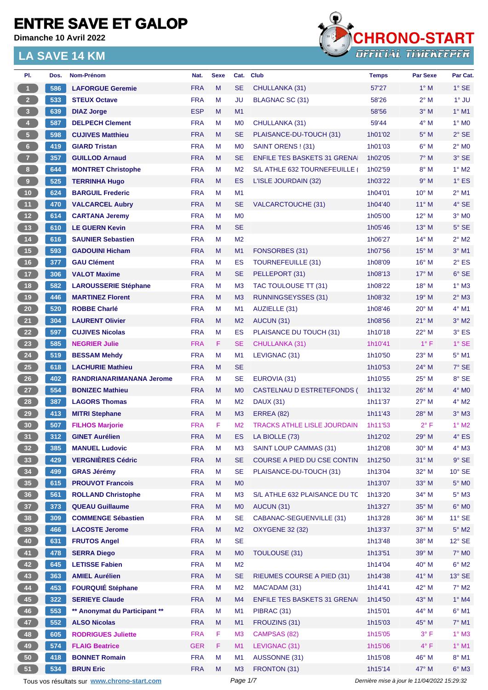**Dimanche 10 Avril 2022**



| PI.                     | Dos. | Nom-Prénom                                  | Nat.       | <b>Sexe</b> | Cat.           | <b>Club</b>                         | <b>Temps</b> | <b>Par Sexe</b>                             | Par Cat.        |
|-------------------------|------|---------------------------------------------|------------|-------------|----------------|-------------------------------------|--------------|---------------------------------------------|-----------------|
| $\overline{1}$          | 586  | <b>LAFORGUE Geremie</b>                     | <b>FRA</b> | M           | <b>SE</b>      | CHULLANKA (31)                      | 57'27        | $1^\circ$ M                                 | $1^\circ$ SE    |
| $\overline{2}$          | 533  | <b>STEUX Octave</b>                         | <b>FRA</b> | М           | <b>JU</b>      | BLAGNAC SC (31)                     | 58'26        | $2^{\circ}$ M                               | $1^\circ$ JU    |
| $\overline{\mathbf{3}}$ | 639  | <b>DIAZ Jorge</b>                           | <b>ESP</b> | M           | M <sub>1</sub> |                                     | 58'56        | $3°$ M                                      | $1°$ M1         |
| $\bigoplus$             | 587  | <b>DELPECH Clement</b>                      | <b>FRA</b> | М           | M <sub>0</sub> | CHULLANKA (31)                      | 59'44        | $4^\circ$ M                                 | $1^\circ$ MO    |
| $\sqrt{5}$              | 598  | <b>CUJIVES Matthieu</b>                     | <b>FRA</b> | M           | <b>SE</b>      | PLAISANCE-DU-TOUCH (31)             | 1h01'02      | $5^\circ$ M                                 | $2°$ SE         |
| $6\phantom{.}6$         | 419  | <b>GIARD Tristan</b>                        | <b>FRA</b> | M           | M <sub>0</sub> | SAINT ORENS ! (31)                  | 1h01'03      | $6^\circ$ M                                 | $2^{\circ}$ MO  |
| $\overline{7}$          | 357  | <b>GUILLOD Arnaud</b>                       | <b>FRA</b> | M           | <b>SE</b>      | <b>ENFILE TES BASKETS 31 GRENAL</b> | 1h02'05      | $7^\circ$ M                                 | 3° SE           |
| 8 <sub>1</sub>          | 644  | <b>MONTRET Christophe</b>                   | <b>FRA</b> | M           | M <sub>2</sub> | S/L ATHLE 632 TOURNEFEUILLE (       | 1h02'59      | $8^\circ$ M                                 | $1^\circ$ M2    |
| $\overline{9}$          | 525  | <b>TERRINHA Hugo</b>                        | <b>FRA</b> | M           | <b>ES</b>      | L'ISLE JOURDAIN (32)                | 1h03'22      | 9° M                                        | $1^\circ$ ES    |
| 10                      | 624  | <b>BARGUIL Frederic</b>                     | <b>FRA</b> | М           | M <sub>1</sub> |                                     | 1h04'01      | $10^{\circ}$ M                              | $2^{\circ}$ M1  |
| 11                      | 470  | <b>VALCARCEL Aubry</b>                      | <b>FRA</b> | M           | <b>SE</b>      | <b>VALCARCTOUCHE (31)</b>           | 1h04'40      | $11^{\circ}$ M                              | 4° SE           |
| 12                      | 614  | <b>CARTANA Jeremy</b>                       | <b>FRA</b> | M           | M <sub>0</sub> |                                     | 1h05'00      | $12^{\circ}$ M                              | $3°$ MO         |
| 13                      | 610  | <b>LE GUERN Kevin</b>                       | <b>FRA</b> | M           | <b>SE</b>      |                                     | 1h05'46      | $13^\circ$ M                                | $5^\circ$ SE    |
| 14                      | 616  | <b>SAUNIER Sebastien</b>                    | <b>FRA</b> | М           | M <sub>2</sub> |                                     | 1h06'27      | $14^{\circ}$ M                              | $2^{\circ}$ M2  |
| 15                      | 593  | <b>GADOUINI Hicham</b>                      | <b>FRA</b> | M           | M1             | FONSORBES (31)                      | 1h07'56      | $15^{\circ}$ M                              | $3°$ M1         |
| 16                      | 377  | <b>GAU Clément</b>                          | <b>FRA</b> | M           | ES             | <b>TOURNEFEUILLE (31)</b>           | 1h08'09      | $16^{\circ}$ M                              | $2^{\circ}$ ES  |
| 17 <sup>2</sup>         | 306  | <b>VALOT Maxime</b>                         | <b>FRA</b> | M           | <b>SE</b>      | PELLEPORT (31)                      | 1h08'13      | $17^{\circ}$ M                              | 6° SE           |
| 18                      | 582  | <b>LAROUSSERIE Stéphane</b>                 | <b>FRA</b> | М           | M <sub>3</sub> | TAC TOULOUSE TT (31)                | 1h08'22      | $18^{\circ}$ M                              | $1^\circ$ M3    |
| 19                      | 446  | <b>MARTINEZ Florent</b>                     | <b>FRA</b> | M           | M <sub>3</sub> | <b>RUNNINGSEYSSES (31)</b>          | 1h08'32      | 19° M                                       | $2^{\circ}$ M3  |
| $20\phantom{a}$         | 520  | <b>ROBBE Charlé</b>                         | <b>FRA</b> | М           | M1             | AUZIELLE (31)                       | 1h08'46      | $20^{\circ}$ M                              | $4^{\circ}$ M1  |
| 21                      | 304  | <b>LAURENT Olivier</b>                      | <b>FRA</b> | M           | M <sub>2</sub> | AUCUN (31)                          | 1h08'56      | $21°$ M                                     | $3°$ M2         |
| 22                      | 597  | <b>CUJIVES Nicolas</b>                      | <b>FRA</b> | M           | ES             | PLAISANCE DU TOUCH (31)             | 1h10'18      | 22° M                                       | $3°$ ES         |
| 23                      | 585  | <b>NEGRIER Julie</b>                        | <b>FRA</b> | F.          | <b>SE</b>      | CHULLANKA (31)                      | 1h10'41      | $1^{\circ}$ F                               | $1^\circ$ SE    |
| ${\bf 24}$              | 519  | <b>BESSAM Mehdy</b>                         | <b>FRA</b> | M           | M1             | LEVIGNAC (31)                       | 1h10'50      | 23° M                                       | $5^\circ$ M1    |
| 25                      | 618  | <b>LACHURIE Mathieu</b>                     | <b>FRA</b> | M           | <b>SE</b>      |                                     | 1h10'53      | 24° M                                       | 7° SE           |
| 26                      | 402  | <b>RANDRIANARIMANANA Jerome</b>             | <b>FRA</b> | М           | <b>SE</b>      | EUROVIA (31)                        | 1h10'55      | $25^{\circ}$ M                              | 8° SE           |
| 27                      | 554  | <b>BONIZEC Mathieu</b>                      | <b>FRA</b> | M           | M <sub>0</sub> | CASTELNAU D ESTRETEFONDS (          | 1h11'32      | 26° M                                       | $4^\circ$ MO    |
| 28                      | 387  | <b>LAGORS Thomas</b>                        | <b>FRA</b> | М           | M <sub>2</sub> | <b>DAUX (31)</b>                    | 1h11'37      | $27^\circ$ M                                | $4^\circ$ M2    |
| 29                      | 413  | <b>MITRI Stephane</b>                       | <b>FRA</b> | M           | M <sub>3</sub> | <b>ERREA (82)</b>                   | 1h11'43      | $28^\circ$ M                                | $3°$ M $3$      |
| 30                      | 507  | <b>FILHOS Marjorie</b>                      | <b>FRA</b> | F           | M <sub>2</sub> | <b>TRACKS ATHLE LISLE JOURDAIN</b>  | 1h11'53      | $2^{\circ}$ F                               | $1^\circ$ M2    |
| 31                      | 312  | <b>GINET Aurélien</b>                       | <b>FRA</b> | M           | ES             | LA BIOLLE (73)                      | 1h12'02      | $29^\circ$ M                                | $4^\circ$ ES    |
| 32 <sub>2</sub>         | 385  | <b>MANUEL Ludovic</b>                       | <b>FRA</b> | М           | M <sub>3</sub> | <b>SAINT LOUP CAMMAS (31)</b>       | 1h12'08      | $30^\circ$ M                                | $4^\circ$ M3    |
| 33                      | 429  | <b>VERGNIÈRES Cédric</b>                    | <b>FRA</b> | M           | <b>SE</b>      | COURSE A PIED DU CSE CONTIN         | 1h12'50      | $31^\circ$ M                                | $9°$ SE         |
| 34                      | 499  | <b>GRAS Jérémy</b>                          | <b>FRA</b> | M           | <b>SE</b>      | PLAISANCE-DU-TOUCH (31)             | 1h13'04      | $32^\circ$ M                                | $10^{\circ}$ SE |
| 35                      | 615  | <b>PROUVOT Francois</b>                     | <b>FRA</b> | M           | M <sub>0</sub> |                                     | 1h13'07      | $33^\circ$ M                                | $5^\circ$ MO    |
| 36                      | 561  | <b>ROLLAND Christophe</b>                   | <b>FRA</b> | M           | M <sub>3</sub> | S/L ATHLE 632 PLAISANCE DU TC       | 1h13'20      | 34° M                                       | $5^\circ$ M3    |
| 37 <sup>°</sup>         | 373  | <b>QUEAU Guillaume</b>                      | <b>FRA</b> | M           | M <sub>0</sub> | AUCUN (31)                          | 1h13'27      | $35^\circ$ M                                | $6^\circ$ MO    |
| 38                      | 309  | <b>COMMENGE Sébastien</b>                   | <b>FRA</b> | M           | <b>SE</b>      | CABANAC-SEGUENVILLE (31)            | 1h13'28      | 36° M                                       | $11^{\circ}$ SE |
| 39                      | 466  | <b>LACOSTE Jerome</b>                       | <b>FRA</b> | M           | M <sub>2</sub> | <b>OXYGENE 32 (32)</b>              | 1h13'37      | $37^\circ$ M                                | $5^\circ$ M2    |
| 40                      | 631  | <b>FRUTOS Angel</b>                         | <b>FRA</b> | M           | <b>SE</b>      |                                     | 1h13'48      | 38° M                                       | $12^{\circ}$ SE |
| 41                      | 478  | <b>SERRA Diego</b>                          | <b>FRA</b> | M           | M <sub>0</sub> | TOULOUSE (31)                       | 1h13'51      | 39° M                                       | 7° M0           |
| 42                      | 645  | <b>LETISSE Fabien</b>                       | <b>FRA</b> | М           | M <sub>2</sub> |                                     | 1h14'04      | 40° M                                       | $6^{\circ}$ M2  |
| 43                      | 363  | <b>AMIEL Aurélien</b>                       | <b>FRA</b> | M           | <b>SE</b>      | <b>RIEUMES COURSE A PIED (31)</b>   | 1h14'38      | 41° M                                       | $13^\circ$ SE   |
| 44                      | 453  | <b>FOURQUIÉ Stéphane</b>                    | <b>FRA</b> | M           | M <sub>2</sub> | MAC'ADAM (31)                       | 1h14'41      | 42° M                                       | $7^\circ$ M2    |
| 45                      | 322  | <b>SERIEYE Claude</b>                       | <b>FRA</b> | M           | M4             | <b>ENFILE TES BASKETS 31 GRENA</b>  | 1h14'50      | 43° M                                       | $1^\circ$ M4    |
| 46                      | 553  | ** Anonymat du Participant **               | <b>FRA</b> | М           | M1             | PIBRAC (31)                         | 1h15'01      | 44° M                                       | $6^{\circ}$ M1  |
| 47                      | 552  | <b>ALSO Nicolas</b>                         | <b>FRA</b> | M           | M1             | FROUZINS (31)                       | 1h15'03      | 45° M                                       | $7^\circ$ M1    |
| 48                      | 605  | <b>RODRIGUES Juliette</b>                   | <b>FRA</b> | F.          | M <sub>3</sub> | CAMPSAS (82)                        | 1h15'05      | $3^{\circ}$ F                               | $1^\circ$ M3    |
| 49                      | 574  | <b>FLAIG Beatrice</b>                       | <b>GER</b> | F           | M1             | LEVIGNAC (31)                       | 1h15'06      | $4^{\circ}$ F                               | $1^\circ$ M1    |
| 50                      | 418  | <b>BONNET Romain</b>                        | <b>FRA</b> | М           | M1             | AUSSONNE (31)                       | 1h15'08      | $46^{\circ}$ M                              | $8^\circ$ M1    |
| 51                      | 534  | <b>BRUN Eric</b>                            | <b>FRA</b> | M           | M <sub>3</sub> | FRONTON (31)                        | 1h15'14      | 47° M                                       | $6^\circ$ M3    |
|                         |      | Tous vos résultats sur www.chrono-start.com |            |             | Page 1/7       |                                     |              | Dernière mise à jour le 11/04/2022 15:29:32 |                 |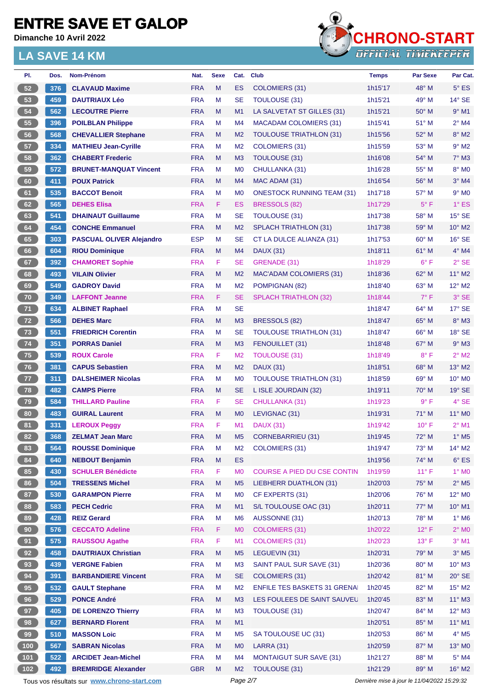**Dimanche 10 Avril 2022**

#### **LA SAVE 14 KM**



| PI.             | Dos. | Nom-Prénom                                        | Nat.       | <b>Sexe</b> | Cat.                        | <b>Club</b>                         | <b>Temps</b> | <b>Par Sexe</b>                             | Par Cat.                   |
|-----------------|------|---------------------------------------------------|------------|-------------|-----------------------------|-------------------------------------|--------------|---------------------------------------------|----------------------------|
| 52              | 376  | <b>CLAVAUD Maxime</b>                             | <b>FRA</b> | M           | <b>ES</b>                   | <b>COLOMIERS (31)</b>               | 1h15'17      | $48^\circ$ M                                | $5^\circ$ ES               |
| 53              | 459  | <b>DAUTRIAUX Léo</b>                              | <b>FRA</b> | M           | <b>SE</b>                   | <b>TOULOUSE (31)</b>                | 1h15'21      | 49° M                                       | $14^{\circ}$ SE            |
| 54              | 562  | <b>LECOUTRE Pierre</b>                            | <b>FRA</b> | M           | M1                          | LA SALVETAT ST GILLES (31)          | 1h15'21      | $50^\circ$ M                                | $9°$ M1                    |
| 55              | 396  | <b>POILBLAN Philippe</b>                          | <b>FRA</b> | M           | M4                          | <b>MACADAM COLOMIERS (31)</b>       | 1h15'41      | 51° M                                       | $2^{\circ}$ M4             |
| 56              | 568  | <b>CHEVALLIER Stephane</b>                        | <b>FRA</b> | M           | M <sub>2</sub>              | <b>TOULOUSE TRIATHLON (31)</b>      | 1h15'56      | $52^{\circ}$ M                              | $8^\circ$ M2               |
| 57              | 334  | <b>MATHIEU Jean-Cyrille</b>                       | <b>FRA</b> | M           | M <sub>2</sub>              | <b>COLOMIERS (31)</b>               | 1h15'59      | 53° M                                       | $9°$ M2                    |
| 58              | 362  | <b>CHABERT Frederic</b>                           | <b>FRA</b> | M           | M <sub>3</sub>              | <b>TOULOUSE (31)</b>                | 1h16'08      | 54° M                                       | $7°$ M3                    |
| 59              | 572  | <b>BRUNET-MANQUAT Vincent</b>                     | <b>FRA</b> | M           | M <sub>0</sub>              | CHULLANKA (31)                      | 1h16'28      | 55° M                                       | 8° MO                      |
| 60              | 411  | <b>POUX Patrick</b>                               | <b>FRA</b> | M           | M4                          | MAC ADAM (31)                       | 1h16'54      | 56° M                                       | $3°$ M4                    |
| 61              | 535  | <b>BACCOT Benoit</b>                              | <b>FRA</b> | M           | M <sub>0</sub>              | <b>ONESTOCK RUNNING TEAM (31)</b>   | 1h17'18      | 57° M                                       | $9°$ MO                    |
| 62              | 565  | <b>DEHES Elisa</b>                                | <b>FRA</b> | F           | ES                          | <b>BRESSOLS (82)</b>                | 1h17'29      | $5^{\circ}$ F                               | $1^\circ$ ES               |
| 63              | 541  | <b>DHAINAUT Guillaume</b>                         | <b>FRA</b> | M           | <b>SE</b>                   | <b>TOULOUSE (31)</b>                | 1h17'38      | 58° M                                       | $15^\circ$ SE              |
| 64              | 454  | <b>CONCHE Emmanuel</b>                            | <b>FRA</b> | M           | M <sub>2</sub>              | <b>SPLACH TRIATHLON (31)</b>        | 1h17'38      | 59° M                                       | 10° M2                     |
| 65              | 303  | <b>PASCUAL OLIVER Alejandro</b>                   | <b>ESP</b> | M           | <b>SE</b>                   | CT LA DULCE ALIANZA (31)            | 1h17'53      | $60^{\circ}$ M                              | $16°$ SE                   |
| 66              | 604  | <b>RIOU Dominique</b>                             | <b>FRA</b> | M           | M4                          | <b>DAUX (31)</b>                    | 1h18'11      | 61° M                                       | 4° M4                      |
| 67              | 392  | <b>CHAMORET Sophie</b>                            | <b>FRA</b> | F           | <b>SE</b>                   | GRENADE (31)                        | 1h18'29      | $6^{\circ}$ F                               | $2°$ SE                    |
| 68              | 493  | <b>VILAIN Olivier</b>                             | <b>FRA</b> | M           | M <sub>2</sub>              | MAC'ADAM COLOMIERS (31)             | 1h18'36      | 62° M                                       | 11° M2                     |
| 69              | 549  | <b>GADROY David</b>                               | <b>FRA</b> | M           | M <sub>2</sub>              | POMPIGNAN (82)                      | 1h18'40      | 63° M                                       | $12^{\circ}$ M2            |
| 70              | 349  | <b>LAFFONT Jeanne</b>                             | <b>FRA</b> | F           | <b>SE</b>                   | <b>SPLACH TRIATHLON (32)</b>        | 1h18'44      | $7^\circ$ F                                 | 3° SE                      |
| 71              | 634  | <b>ALBINET Raphael</b>                            | <b>FRA</b> | M           | <b>SE</b>                   |                                     | 1h18'47      | $64^{\circ}$ M                              | $17^\circ$ SE              |
| 72              | 566  | <b>DEHES Marc</b>                                 | <b>FRA</b> | M           | M <sub>3</sub>              | BRESSOLS (82)                       | 1h18'47      | $65^{\circ}$ M                              | 8° M3                      |
| 73              | 551  | <b>FRIEDRICH Corentin</b>                         | <b>FRA</b> | M           | <b>SE</b>                   | <b>TOULOUSE TRIATHLON (31)</b>      | 1h18'47      | $66^{\circ}$ M                              | $18°$ SE                   |
| 74              | 351  | <b>PORRAS Daniel</b>                              | <b>FRA</b> | M           | M <sub>3</sub>              | FENOUILLET (31)                     | 1h18'48      | $67^\circ$ M                                | $9°$ M3                    |
| 75              | 539  | <b>ROUX Carole</b>                                | <b>FRA</b> | F           | M <sub>2</sub>              | <b>TOULOUSE (31)</b>                | 1h18'49      | $8^{\circ}$ F                               | $2^{\circ}$ M2             |
| 76              | 381  | <b>CAPUS Sebastien</b>                            | <b>FRA</b> | M           | M <sub>2</sub>              | <b>DAUX (31)</b>                    | 1h18'51      | $68^\circ$ M                                | 13° M2                     |
| 77              | 311  | <b>DALSHEIMER Nicolas</b>                         | <b>FRA</b> | M           | M <sub>0</sub>              | <b>TOULOUSE TRIATHLON (31)</b>      | 1h18'59      | 69° M                                       | 10° M <sub>0</sub>         |
| 78              | 482  | <b>CAMPS Pierre</b>                               | <b>FRA</b> | M           | <b>SE</b>                   | L ISLE JOURDAIN (32)                | 1h19'11      | $70^\circ$ M                                | 19° SE                     |
| 79              | 584  | <b>THILLARD Pauline</b>                           | <b>FRA</b> | F           | <b>SE</b>                   | CHULLANKA (31)                      | 1h19'23      | $9^{\circ}$ F                               | 4° SE                      |
| 80              | 483  | <b>GUIRAL Laurent</b>                             | <b>FRA</b> | M           | M <sub>0</sub>              | LEVIGNAC (31)                       | 1h19'31      | $71^\circ$ M                                | $11^{\circ}$ MO            |
| 81              | 331  | <b>LEROUX Peggy</b>                               | <b>FRA</b> | F           | M <sub>1</sub>              | <b>DAUX (31)</b>                    | 1h19'42      | $10^{\circ}$ F                              | $2^{\circ}$ M1             |
| 82              | 368  |                                                   | <b>FRA</b> | M           |                             |                                     |              |                                             | $1^\circ$ M <sub>5</sub>   |
|                 |      | <b>ZELMAT Jean Marc</b>                           |            |             | M <sub>5</sub>              | <b>CORNEBARRIEU (31)</b>            | 1h19'45      | 72° M<br>73° M                              |                            |
| 83              | 564  | <b>ROUSSE Dominique</b><br><b>NEBOUT Benjamin</b> | <b>FRA</b> | M<br>M      | M <sub>2</sub><br><b>ES</b> | COLOMIERS (31)                      | 1h19'47      |                                             | 14° M2                     |
| 84              | 640  |                                                   | <b>FRA</b> |             |                             |                                     | 1h19'56      | 74° M                                       | $6^{\circ}$ ES             |
| 85              | 430  | <b>SCHULER Bénédicte</b>                          | <b>FRA</b> | F           | M <sub>0</sub>              | COURSE A PIED DU CSE CONTIN         | 1h19'59      | $11^{\circ}$ F                              | $1^\circ$ MO               |
| 86              | 504  | <b>TRESSENS Michel</b>                            | <b>FRA</b> | M           | M <sub>5</sub>              | LIEBHERR DUATHLON (31)              | 1h20'03      | 75° M                                       | $2^{\circ}$ M <sub>5</sub> |
| 87              | 530  | <b>GARAMPON Pierre</b>                            | <b>FRA</b> | M           | M <sub>0</sub>              | CF EXPERTS (31)                     | 1h20'06      | $76^\circ$ M                                | 12° M <sub>0</sub>         |
| 88              | 583  | <b>PECH Cedric</b>                                | <b>FRA</b> | M           | M1                          | S/L TOULOUSE OAC (31)               | 1h20'11      | 77° M                                       | $10^{\circ}$ M1            |
| 89              | 428  | <b>REIZ Gerard</b>                                | <b>FRA</b> | M           | M <sub>6</sub>              | AUSSONNE (31)                       | 1h20'13      | 78° M                                       | $1^\circ$ M6               |
| 90 <sub>o</sub> | 576  | <b>CECCATO Adeline</b>                            | <b>FRA</b> | F           | M <sub>0</sub>              | <b>COLOMIERS (31)</b>               | 1h20'22      | $12^{\circ}$ F                              | $2^\circ$ MO               |
| 91              | 575  | <b>RAUSSOU Agathe</b>                             | <b>FRA</b> | F           | M1                          | <b>COLOMIERS (31)</b>               | 1h20'23      | $13^{\circ}$ F                              | $3°$ M1                    |
| 92              | 458  | <b>DAUTRIAUX Christian</b>                        | <b>FRA</b> | M           | M <sub>5</sub>              | LEGUEVIN (31)                       | 1h20'31      | 79° M                                       | $3^\circ$ M5               |
| 93              | 439  | <b>VERGNE Fabien</b>                              | <b>FRA</b> | M           | M <sub>3</sub>              | SAINT PAUL SUR SAVE (31)            | 1h20'36      | 80° M                                       | $10^{\circ}$ M3            |
| 94              | 391  | <b>BARBANDIERE Vincent</b>                        | <b>FRA</b> | M           | <b>SE</b>                   | <b>COLOMIERS (31)</b>               | 1h20'42      | 81° M                                       | $20^\circ$ SE              |
| 95              | 532  | <b>GAULT Stephane</b>                             | <b>FRA</b> | M           | M <sub>2</sub>              | <b>ENFILE TES BASKETS 31 GRENAI</b> | 1h20'45      | 82° M                                       | $15^{\circ}$ M2            |
| 96              | 529  | <b>PONCE André</b>                                | <b>FRA</b> | M           | M <sub>3</sub>              | LES FOULEES DE SAINT SAUVEL         | 1h20'45      | 83° M                                       | $11^{\circ}$ M3            |
| 97              | 405  | <b>DE LORENZO Thierry</b>                         | <b>FRA</b> | M           | M <sub>3</sub>              | TOULOUSE (31)                       | 1h20'47      | 84° M                                       | $12^{\circ}$ M3            |
| 98              | 627  | <b>BERNARD Florent</b>                            | <b>FRA</b> | M           | M1                          |                                     | 1h20'51      | 85° M                                       | $11^{\circ}$ M1            |
| 99              | 510  | <b>MASSON Loic</b>                                | <b>FRA</b> | M           | M <sub>5</sub>              | SA TOULOUSE UC (31)                 | 1h20'53      | 86° M                                       | $4^\circ$ M5               |
| $100$           | 567  | <b>SABRAN Nicolas</b>                             | <b>FRA</b> | M           | M <sub>0</sub>              | LARRA (31)                          | 1h20'59      | 87° M                                       | 13° MO                     |
| 101             | 522  | <b>ARCIDET Jean-Michel</b>                        | <b>FRA</b> | M           | M4                          | <b>MONTAIGUT SUR SAVE (31)</b>      | 1h21'27      | 88° M                                       | $5^\circ$ M4               |
| 102             | 492  | <b>BREMRIDGE Alexander</b>                        | <b>GBR</b> | M           | M <sub>2</sub>              | TOULOUSE (31)                       | 1h21'29      | 89° M                                       | $16^{\circ}$ M2            |
|                 |      | Tous vos résultats sur www.chrono-start.com       |            |             | Page 2/7                    |                                     |              | Dernière mise à jour le 11/04/2022 15:29:32 |                            |

the vos résultats sur <u>[www.chrono-start.com](https://www.chrono-start.com/)</u> Page 2/7 Page  $2/7$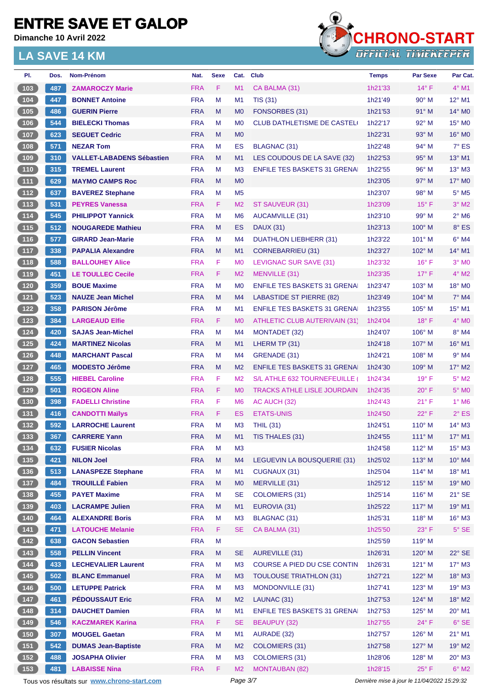**Dimanche 10 Avril 2022**



| PI.                                                         | Dos. | Nom-Prénom                                  | Nat.       | <b>Sexe</b> | Cat.           | <b>Club</b>                         | <b>Temps</b> | <b>Par Sexe</b>                             | Par Cat.                 |
|-------------------------------------------------------------|------|---------------------------------------------|------------|-------------|----------------|-------------------------------------|--------------|---------------------------------------------|--------------------------|
| (103)                                                       | 487  | <b>ZAMAROCZY Marie</b>                      | <b>FRA</b> | F           | M1             | CA BALMA (31)                       | 1h21'33      | $14^{\circ}$ F                              | $4^{\circ}$ M1           |
| $\boxed{104}$                                               | 447  | <b>BONNET Antoine</b>                       | <b>FRA</b> | M           | M <sub>1</sub> | <b>TIS (31)</b>                     | 1h21'49      | $90^\circ$ M                                | 12° M1                   |
| 105                                                         | 486  | <b>GUERIN Pierre</b>                        | <b>FRA</b> | M           | M <sub>0</sub> | FONSORBES (31)                      | 1h21'53      | $91^\circ$ M                                | $14^{\circ}$ MO          |
| $\boxed{106}$                                               | 544  | <b>BIELECKI Thomas</b>                      | <b>FRA</b> | M           | M <sub>0</sub> | <b>CLUB DATHLETISME DE CASTELI</b>  | 1h22'17      | $92^{\circ}$ M                              | $15^\circ$ MO            |
| 107                                                         | 623  | <b>SEGUET Cedric</b>                        | <b>FRA</b> | M           | M <sub>0</sub> |                                     | 1h22'31      | 93° M                                       | $16^\circ$ MO            |
| 108                                                         | 571  | <b>NEZAR Tom</b>                            | <b>FRA</b> | M           | ES             | <b>BLAGNAC (31)</b>                 | 1h22'48      | $94^{\circ}$ M                              | $7^\circ$ ES             |
| (109)                                                       | 310  | <b>VALLET-LABADENS Sébastien</b>            | <b>FRA</b> | M           | M1             | LES COUDOUS DE LA SAVE (32)         | 1h22'53      | $95^\circ$ M                                | 13° M1                   |
| 110                                                         | 315  | <b>TREMEL Laurent</b>                       | <b>FRA</b> | M           | M <sub>3</sub> | <b>ENFILE TES BASKETS 31 GRENAI</b> | 1h22'55      | $96^\circ$ M                                | $13^\circ$ M3            |
| (111)                                                       | 629  | <b>MAYMO CAMPS Roc</b>                      | <b>FRA</b> | M           | M <sub>0</sub> |                                     | 1h23'05      | 97° M                                       | $17^\circ$ MO            |
| $\boxed{112}$                                               | 637  | <b>BAVEREZ Stephane</b>                     | <b>FRA</b> | M           | M <sub>5</sub> |                                     | 1h23'07      | 98° M                                       | $5^\circ$ M5             |
| (113)                                                       | 531  | <b>PEYRES Vanessa</b>                       | <b>FRA</b> | F           | M <sub>2</sub> | ST SAUVEUR (31)                     | 1h23'09      | $15^{\circ}$ F                              | $3°$ M2                  |
| $\begin{array}{ c c c }\n\hline\n114\n\end{array}$          | 545  | <b>PHILIPPOT Yannick</b>                    | <b>FRA</b> | M           | M <sub>6</sub> | AUCAMVILLE (31)                     | 1h23'10      | 99° M                                       | $2^{\circ}$ M6           |
| (115)                                                       | 512  | <b>NOUGAREDE Mathieu</b>                    | <b>FRA</b> | M           | ES             | <b>DAUX (31)</b>                    | 1h23'13      | $100^\circ$ M                               | 8° ES                    |
| $116$                                                       | 577  | <b>GIRARD Jean-Marie</b>                    | <b>FRA</b> | M           | M4             | <b>DUATHLON LIEBHERR (31)</b>       | 1h23'22      | $101^\circ$ M                               | $6^\circ$ M4             |
| (117)                                                       | 338  | <b>PAPALIA Alexandre</b>                    | <b>FRA</b> | M           | M1             | CORNEBARRIEU (31)                   | 1h23'27      | $102^\circ$ M                               | $14^{\circ}$ M1          |
| $118$                                                       | 588  | <b>BALLOUHEY Alice</b>                      | <b>FRA</b> | F           | M <sub>0</sub> | LEVIGNAC SUR SAVE (31)              | 1h23'32      | $16^{\circ}$ F                              | $3°$ MO                  |
| 119                                                         | 451  | <b>LE TOULLEC Cecile</b>                    | <b>FRA</b> | F           | M <sub>2</sub> | MENVILLE (31)                       | 1h23'35      | $17^\circ$ F                                | $4^\circ$ M2             |
| $120$                                                       | 359  | <b>BOUE Maxime</b>                          | <b>FRA</b> | M           | M <sub>0</sub> | <b>ENFILE TES BASKETS 31 GRENAL</b> | 1h23'47      | $103^\circ$ M                               | 18° MO                   |
| (121)                                                       | 523  | <b>NAUZE Jean Michel</b>                    | <b>FRA</b> | M           | M4             | LABASTIDE ST PIERRE (82)            | 1h23'49      | $104^\circ$ M                               | $7^\circ$ M4             |
| $122$                                                       | 358  | <b>PARISON Jérôme</b>                       | <b>FRA</b> | M           | M1             | <b>ENFILE TES BASKETS 31 GRENAI</b> | 1h23'55      | $105^\circ$ M                               | $15^{\circ}$ M1          |
| 123                                                         | 384  | <b>LARGEAUD Elfie</b>                       | <b>FRA</b> | F.          | M <sub>0</sub> | ATHLETIC CLUB AUTERIVAIN (31)       | 1h24'04      | $18^{\circ}$ F                              | $4^\circ$ MO             |
| $124$                                                       | 420  | <b>SAJAS Jean-Michel</b>                    | <b>FRA</b> | M           | M4             | MONTADET (32)                       | 1h24'07      | $106^\circ$ M                               | $8^\circ$ M4             |
| 125                                                         | 424  | <b>MARTINEZ Nicolas</b>                     | <b>FRA</b> | M           | M1             | LHERM TP (31)                       | 1h24'18      | $107^\circ$ M                               | 16° M1                   |
| $126$                                                       | 448  | <b>MARCHANT Pascal</b>                      | <b>FRA</b> | м           | M4             | GRENADE (31)                        | 1h24'21      | $108^\circ$ M                               | $9°$ M4                  |
| 127                                                         | 465  | <b>MODESTO Jérôme</b>                       | <b>FRA</b> | M           | M <sub>2</sub> | <b>ENFILE TES BASKETS 31 GRENA</b>  | 1h24'30      | $109^\circ$ M                               | $17^\circ$ M2            |
| $128$                                                       | 555  | <b>HIEBEL Caroline</b>                      | <b>FRA</b> | F           | M <sub>2</sub> | S/L ATHLE 632 TOURNEFEUILLE (       | 1h24'34      | $19^{\circ}$ F                              | $5^\circ$ M2             |
|                                                             |      |                                             |            | F           |                |                                     |              |                                             |                          |
| (129)                                                       | 501  | <b>ROGEON Aline</b>                         | <b>FRA</b> | F           | M <sub>0</sub> | <b>TRACKS ATHLE LISLE JOURDAIN</b>  | 1h24'35      | $20^{\circ}$ F                              | $5^\circ$ MO             |
| $\boxed{130}$                                               | 398  | <b>FADELLI Christine</b>                    | <b>FRA</b> |             | M <sub>6</sub> | AC AUCH (32)                        | 1h24'43      | 21° F                                       | $1^\circ$ M <sub>6</sub> |
| (131)                                                       | 416  | <b>CANDOTTI Maïlys</b>                      | <b>FRA</b> | F.          | ES             | <b>ETATS-UNIS</b>                   | 1h24'50      | $22^{\circ}$ F                              | $2^{\circ}$ ES           |
| $\boxed{132}$                                               | 592  | <b>LARROCHE Laurent</b>                     | <b>FRA</b> | M           | M <sub>3</sub> | <b>THIL (31)</b>                    | 1h24'51      | $110^{\circ}$ M                             | $14^{\circ}$ M3          |
| 133                                                         | 367  | <b>CARRERE Yann</b>                         | <b>FRA</b> | M           | M1             | TIS THALES (31)                     | 1h24'55      | $111^\circ$ M                               | $17^{\circ}$ M1          |
| $134$                                                       | 632  | <b>FUSIER Nicolas</b>                       | <b>FRA</b> | M           | M <sub>3</sub> |                                     | 1h24'58      | 112° M                                      | $15^{\circ}$ M3          |
| 135                                                         | 421  | <b>NILON Joel</b>                           | <b>FRA</b> | M           | M4             | LEGUEVIN LA BOUSQUERIE (31)         | 1h25'02      | $113^\circ$ M                               | $10^{\circ}$ M4          |
| $\begin{array}{c} \n \text{136}\n \end{array}$              | 513  | <b>LANASPEZE Stephane</b>                   | <b>FRA</b> | M           | M <sub>1</sub> | CUGNAUX (31)                        | 1h25'04      | 114° M                                      | 18° M1                   |
| $\begin{array}{c} \boxed{137} \end{array}$                  | 484  | <b>TROUILLÉ Fabien</b>                      | <b>FRA</b> | M           | M <sub>0</sub> | <b>MERVILLE (31)</b>                | 1h25'12      | $115^\circ$ M                               | 19° MO                   |
| 138                                                         | 455  | <b>PAYET Maxime</b>                         | <b>FRA</b> | M           | <b>SE</b>      | <b>COLOMIERS (31)</b>               | 1h25'14      | $116^\circ$ M                               | $21^\circ$ SE            |
| 139                                                         | 403  | <b>LACRAMPE Julien</b>                      | <b>FRA</b> | M           | M1             | EUROVIA (31)                        | 1h25'22      | $117^\circ$ M                               | 19° M1                   |
| 140                                                         | 464  | <b>ALEXANDRE Boris</b>                      | <b>FRA</b> | M           | M <sub>3</sub> | BLAGNAC (31)                        | 1h25'31      | 118° M                                      | 16° M3                   |
| $\begin{array}{c} \begin{array}{c} \end{array} \end{array}$ | 471  | <b>LATOUCHE Melanie</b>                     | <b>FRA</b> | F           | <b>SE</b>      | CA BALMA (31)                       | 1h25'50      | $23^{\circ}$ F                              | $5^\circ$ SE             |
| $\begin{array}{c} \n \text{142}\n \end{array}$              | 638  | <b>GACON Sebastien</b>                      | <b>FRA</b> | M           |                |                                     | 1h25'59      | 119° M                                      |                          |
| (143)                                                       | 558  | <b>PELLIN Vincent</b>                       | <b>FRA</b> | M           | <b>SE</b>      | <b>AUREVILLE (31)</b>               | 1h26'31      | $120^\circ$ M                               | 22° SE                   |
|                                                             | 433  | <b>LECHEVALIER Laurent</b>                  | <b>FRA</b> | M           | M <sub>3</sub> | COURSE A PIED DU CSE CONTIN         | 1h26'31      | $121^\circ$ M                               | 17° M3                   |
| (145)                                                       | 502  | <b>BLANC Emmanuel</b>                       | <b>FRA</b> | M           | M <sub>3</sub> | <b>TOULOUSE TRIATHLON (31)</b>      | 1h27'21      | 122° M                                      | 18° M3                   |
| $146$                                                       | 500  | <b>LETUPPE Patrick</b>                      | <b>FRA</b> | M           | M <sub>3</sub> | MONDONVILLE (31)                    | 1h27'41      | $123^\circ$ M                               | $19°$ M3                 |
| (147)                                                       | 461  | <b>PÉDOUSSAUT Eric</b>                      | <b>FRA</b> | M           | M <sub>2</sub> | LAUNAC (31)                         | 1h27'53      | 124° M                                      | 18° M2                   |
| $148$                                                       | 314  | <b>DAUCHET Damien</b>                       | <b>FRA</b> | M           | M <sub>1</sub> | <b>ENFILE TES BASKETS 31 GRENAI</b> | 1h27'53      | $125^\circ$ M                               | 20° M1                   |
| (149)                                                       | 546  | <b>KACZMAREK Karina</b>                     | <b>FRA</b> | F           | <b>SE</b>      | <b>BEAUPUY (32)</b>                 | 1h27'55      | $24^{\circ}$ F                              | $6^{\circ}$ SE           |
| $150$                                                       | 307  | <b>MOUGEL Gaetan</b>                        | <b>FRA</b> | M           | M <sub>1</sub> | AURADE (32)                         | 1h27'57      | $126^\circ$ M                               | $21^{\circ}$ M1          |
| (151)                                                       | 542  | <b>DUMAS Jean-Baptiste</b>                  | <b>FRA</b> | M           | M <sub>2</sub> | <b>COLOMIERS (31)</b>               | 1h27'58      | 127° M                                      | 19° M2                   |
| $152$                                                       | 488  | <b>JOSAPHA Olivier</b>                      | <b>FRA</b> | M           | M <sub>3</sub> | <b>COLOMIERS (31)</b>               | 1h28'06      | 128° M                                      | $20^\circ$ M3            |
| (153)                                                       | 481  | <b>LABAISSE Nina</b>                        | <b>FRA</b> | F           | M <sub>2</sub> | <b>MONTAUBAN (82)</b>               | 1h28'15      | $25^{\circ}$ F                              | $6^\circ$ M2             |
|                                                             |      | Tous vos résultats sur www.chrono-start.com |            |             | Page 3/7       |                                     |              | Dernière mise à jour le 11/04/2022 15:29:32 |                          |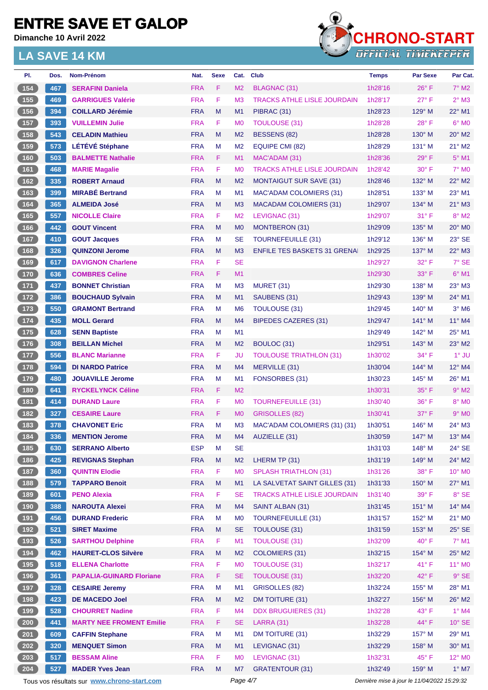**Dimanche 10 Avril 2022**



| PI.                                       | Dos. | Nom-Prénom                                  | Nat.       | <b>Sexe</b> | Cat.           | <b>Club</b>                        | <b>Temps</b>                                | <b>Par Sexe</b> | Par Cat.                    |
|-------------------------------------------|------|---------------------------------------------|------------|-------------|----------------|------------------------------------|---------------------------------------------|-----------------|-----------------------------|
| 154                                       | 467  | <b>SERAFINI Daniela</b>                     | <b>FRA</b> | F           | M <sub>2</sub> | <b>BLAGNAC (31)</b>                | 1h28'16                                     | $26^{\circ}$ F  | $7^\circ$ M2                |
| $\boxed{155}$                             | 469  | <b>GARRIGUES Valérie</b>                    | <b>FRA</b> | F           | M <sub>3</sub> | <b>TRACKS ATHLE LISLE JOURDAIN</b> | 1h28'17                                     | $27^\circ$ F    | $2^{\circ}$ M3              |
| (156)                                     | 394  | <b>COILLARD Jérémie</b>                     | <b>FRA</b> | M           | M1             | PIBRAC (31)                        | 1h28'23                                     | $129^\circ$ M   | $22^{\circ}$ M1             |
| $\boxed{157}$                             | 393  | <b>VUILLEMIN Julie</b>                      | <b>FRA</b> | F           | M <sub>0</sub> | <b>TOULOUSE (31)</b>               | 1h28'28                                     | 28°F            | $6°$ MO                     |
| 158                                       | 543  | <b>CELADIN Mathieu</b>                      | <b>FRA</b> | M           | M <sub>2</sub> | BESSENS (82)                       | 1h28'28                                     | $130^\circ$ M   | 20° M2                      |
| 159                                       | 573  | <b>LÉTÉVÉ Stéphane</b>                      | <b>FRA</b> | M           | M <sub>2</sub> | EQUIPE CMI (82)                    | 1h28'29                                     | 131° M          | $21^{\circ}$ M2             |
| (160)                                     | 503  | <b>BALMETTE Nathalie</b>                    | <b>FRA</b> | F.          | M1             | MAC'ADAM (31)                      | 1h28'36                                     | $29^\circ$ F    | $5^\circ$ M1                |
| 161                                       | 468  | <b>MARIE Magalie</b>                        | <b>FRA</b> | F           | M <sub>0</sub> | <b>TRACKS ATHLE LISLE JOURDAIN</b> | 1h28'42                                     | 30° F           | <b>7° MO</b>                |
| 162                                       | 335  | <b>ROBERT Arnaud</b>                        | <b>FRA</b> | M           | M <sub>2</sub> | <b>MONTAIGUT SUR SAVE (31)</b>     | 1h28'46                                     | $132^\circ$ M   | $22^{\circ}$ M <sub>2</sub> |
| 163                                       | 399  | <b>MIRABÉ Bertrand</b>                      | <b>FRA</b> | м           | M <sub>1</sub> | <b>MAC'ADAM COLOMIERS (31)</b>     | 1h28'51                                     | 133° M          | $23^\circ$ M1               |
| $164$                                     | 365  | <b>ALMEIDA José</b>                         | <b>FRA</b> | M           | M <sub>3</sub> | <b>MACADAM COLOMIERS (31)</b>      | 1h29'07                                     | 134° M          | $21^\circ$ M3               |
| 165                                       | 557  | <b>NICOLLE Claire</b>                       | <b>FRA</b> | F           | M <sub>2</sub> | LEVIGNAC (31)                      | 1h29'07                                     | $31^\circ$ F    | $8^\circ$ M2                |
| 166                                       | 442  | <b>GOUT Vincent</b>                         | <b>FRA</b> | M           | M <sub>0</sub> | MONTBERON (31)                     | 1h29'09                                     | $135^\circ$ M   | 20° M <sub>0</sub>          |
| 167                                       | 410  | <b>GOUT Jacques</b>                         | <b>FRA</b> | M           | <b>SE</b>      | <b>TOURNEFEUILLE (31)</b>          | 1h29'12                                     | $136^\circ$ M   | $23^\circ$ SE               |
| $\boxed{168}$                             | 326  | <b>QUINZONI Jerome</b>                      | <b>FRA</b> | M           | M <sub>3</sub> | <b>ENFILE TES BASKETS 31 GRENA</b> | 1h29'25                                     | 137° M          | $22^{\circ}$ M3             |
| 169                                       | 617  | <b>DAVIGNON Charlene</b>                    | <b>FRA</b> | F           | <b>SE</b>      |                                    | 1h29'27                                     | 32° F           | 7° SE                       |
| $\boxed{170}$                             | 636  | <b>COMBRES Celine</b>                       | <b>FRA</b> | F           | M1             |                                    | 1h29'30                                     | $33^\circ$ F    | $6°$ M1                     |
|                                           | 437  |                                             | <b>FRA</b> |             |                |                                    |                                             |                 | $23^\circ$ M3               |
| 171                                       |      | <b>BONNET Christian</b>                     |            | м           | M <sub>3</sub> | MURET (31)                         | 1h29'30                                     | $138^\circ$ M   |                             |
| (172)                                     | 386  | <b>BOUCHAUD Sylvain</b>                     | <b>FRA</b> | M           | M1             | SAUBENS (31)                       | 1h29'43                                     | $139^\circ$ M   | 24° M1                      |
| 173                                       | 550  | <b>GRAMONT Bertrand</b>                     | <b>FRA</b> | M           | M <sub>6</sub> | TOULOUSE (31)                      | 1h29'45                                     | 140° M          | $3°$ M <sub>6</sub>         |
| 174                                       | 435  | <b>MOLL Gerard</b>                          | <b>FRA</b> | M           | M <sub>4</sub> | <b>BIPEDES CAZERES (31)</b>        | 1h29'47                                     | $141^\circ$ M   | 11° M4                      |
| $\boxed{175}$                             | 628  | <b>SENN Baptiste</b>                        | <b>FRA</b> | М           | M <sub>1</sub> |                                    | 1h29'49                                     | $142^\circ$ M   | 25° M1                      |
| 176                                       | 308  | <b>BEILLAN Michel</b>                       | <b>FRA</b> | M           | M <sub>2</sub> | BOULOC (31)                        | 1h29'51                                     | $143^\circ$ M   | 23° M2                      |
| 177                                       | 556  | <b>BLANC Marianne</b>                       | <b>FRA</b> | F           | JU             | <b>TOULOUSE TRIATHLON (31)</b>     | 1h30'02                                     | 34° F           | $1^\circ$ JU                |
| 178                                       | 594  | <b>DI NARDO Patrice</b>                     | <b>FRA</b> | M           | M4             | MERVILLE (31)                      | 1h30'04                                     | $144^\circ$ M   | $12^{\circ}$ M4             |
| $179$                                     | 480  | <b>JOUAVILLE Jerome</b>                     | <b>FRA</b> | M           | M <sub>1</sub> | FONSORBES (31)                     | 1h30'23                                     | 145° M          | 26° M1                      |
| 180                                       | 641  | <b>RYCKELYNCK Céline</b>                    | <b>FRA</b> | F           | M <sub>2</sub> |                                    | 1h30'31                                     | 35° F           | $9°$ M2                     |
| $181$                                     | 414  | <b>DURAND Laure</b>                         | <b>FRA</b> | F           | M <sub>0</sub> | <b>TOURNEFEUILLE (31)</b>          | 1h30'40                                     | 36° F           | $8^\circ$ MO                |
| (182)                                     | 327  | <b>CESAIRE Laure</b>                        | <b>FRA</b> | F           | M <sub>0</sub> | GRISOLLES (82)                     | 1h30'41                                     | 37° F           | $9°$ M <sub>O</sub>         |
| $183$                                     | 378  | <b>CHAVONET Eric</b>                        | <b>FRA</b> | M           | M <sub>3</sub> | MAC'ADAM COLOMIERS (31) (31)       | 1h30'51                                     | $146^\circ$ M   | 24° M3                      |
| 184                                       | 336  | <b>MENTION Jerome</b>                       | <b>FRA</b> | М           | M4             | AUZIELLE (31)                      | 1h30'59                                     | $147^\circ$ M   | $13^\circ$ M4               |
| $185$                                     | 630  | <b>SERRANO Alberto</b>                      | <b>ESP</b> | М           | <b>SE</b>      |                                    | 1h31'03                                     | 148° M          | 24° SE                      |
| (186)                                     | 425  | <b>REVIGNAS Stephan</b>                     | <b>FRA</b> | M           | M <sub>2</sub> | LHERM TP (31)                      | 1h31'19                                     | 149° M          | $24^\circ$ M2               |
| $187$                                     | 360  | <b>QUINTIN Elodie</b>                       | <b>FRA</b> | F           | M <sub>0</sub> | <b>SPLASH TRIATHLON (31)</b>       | 1h31'26                                     | 38°F            | 10° M0                      |
| 188                                       | 579  | <b>TAPPARO Benoit</b>                       | <b>FRA</b> | M           | M1             | LA SALVETAT SAINT GILLES (31)      | 1h31'33                                     | 150° M          | 27° M1                      |
| $189$                                     | 601  | <b>PENO Alexia</b>                          | <b>FRA</b> | F           | <b>SE</b>      | <b>TRACKS ATHLE LISLE JOURDAIN</b> | 1h31'40                                     | 39° F           | 8° SE                       |
| (190)                                     | 388  | <b>NAROUTA Alexei</b>                       | <b>FRA</b> | M           | M4             | SAINT ALBAN (31)                   | 1h31'45                                     | 151° M          | $14^{\circ}$ M4             |
| $191$                                     | 456  | <b>DURAND Frederic</b>                      | <b>FRA</b> | M           | M <sub>0</sub> | <b>TOURNEFEUILLE (31)</b>          | 1h31'57                                     | 152° M          | 21° MO                      |
| $192$                                     | 521  | <b>SIRET Maxime</b>                         | <b>FRA</b> | M           | <b>SE</b>      | TOULOUSE (31)                      | 1h31'59                                     | 153° M          | $25^\circ$ SE               |
| $193$                                     | 526  | <b>SARTHOU Delphine</b>                     | <b>FRA</b> | F           | M <sub>1</sub> | <b>TOULOUSE (31)</b>               | 1h32'09                                     | 40°F            | $7^\circ$ M1                |
| (194)                                     | 462  | <b>HAURET-CLOS Silvère</b>                  | <b>FRA</b> | M           | M <sub>2</sub> | <b>COLOMIERS (31)</b>              | 1h32'15                                     | 154° M          | $25^{\circ}$ M2             |
| 195                                       | 518  | <b>ELLENA Charlotte</b>                     | <b>FRA</b> | F           | M <sub>0</sub> | <b>TOULOUSE (31)</b>               | 1h32'17                                     | 41°F            | 11° MO                      |
| (196)                                     | 361  | <b>PAPALIA-GUINARD Floriane</b>             | <b>FRA</b> | F           | <b>SE</b>      | <b>TOULOUSE (31)</b>               | 1h32'20                                     | $42^{\circ}$ F  | $9°$ SE                     |
| $\begin{array}{c} \hline 197 \end{array}$ | 328  | <b>CESAIRE Jeremy</b>                       | <b>FRA</b> | M           | M1             | <b>GRISOLLES (82)</b>              | 1h32'24                                     | 155° M          | 28° M1                      |
| 198                                       | 423  | <b>DE MACEDO Joel</b>                       | <b>FRA</b> | M           | M <sub>2</sub> | DM TOITURE (31)                    | 1h32'27                                     | 156° M          | $26^\circ$ M2               |
| 199                                       | 528  | <b>CHOURRET Nadine</b>                      | <b>FRA</b> | F           | M4             | <b>DDX BRUGUIERES (31)</b>         | 1h32'28                                     | 43° F           | $1^\circ$ M4                |
| 200                                       | 441  | <b>MARTY NEE FROMENT Emilie</b>             | <b>FRA</b> | F           | <b>SE</b>      | <b>LARRA (31)</b>                  | 1h32'28                                     | $44^{\circ}$ F  | $10^{\circ}$ SE             |
| 201                                       | 609  | <b>CAFFIN Stephane</b>                      | <b>FRA</b> | M           | M1             | DM TOITURE (31)                    | 1h32'29                                     | 157° M          | 29° M1                      |
| 202                                       | 320  | <b>MENQUET Simon</b>                        | <b>FRA</b> | M           | M1             | LEVIGNAC (31)                      | 1h32'29                                     | 158° M          | 30° M1                      |
| 203                                       | 517  | <b>BESSAM Aline</b>                         | <b>FRA</b> | F           | M <sub>0</sub> | LEVIGNAC (31)                      | 1h32'31                                     | 45°F            | 12° MO                      |
| 204                                       | 527  | <b>MADER Yves Jean</b>                      | <b>FRA</b> | M           | M7             | <b>GRATENTOUR (31)</b>             | 1h32'49                                     | 159° M          | $1^\circ$ M7                |
|                                           |      | Tous vos résultats sur www.chrono-start.com |            |             | Page 4/7       |                                    | Dernière mise à jour le 11/04/2022 15:29:32 |                 |                             |
|                                           |      |                                             |            |             |                |                                    |                                             |                 |                             |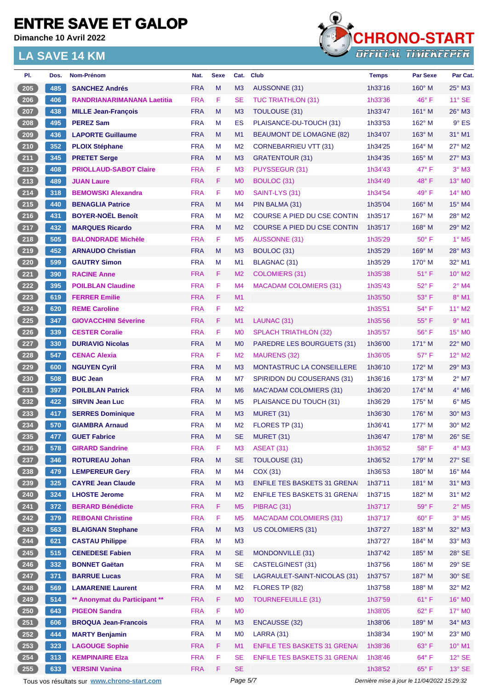**Dimanche 10 Avril 2022**



| PI.                  | Dos. | Nom-Prénom                                  | Nat.       | <b>Sexe</b> | Cat.           | <b>Club</b>                         | <b>Temps</b> | <b>Par Sexe</b>                             | Par Cat.                    |
|----------------------|------|---------------------------------------------|------------|-------------|----------------|-------------------------------------|--------------|---------------------------------------------|-----------------------------|
| $\frac{205}{205}$    | 485  | <b>SANCHEZ Andrés</b>                       | <b>FRA</b> | M           | M <sub>3</sub> | <b>AUSSONNE (31)</b>                | 1h33'16      | $160^\circ$ M                               | $25^\circ$ M3               |
| $206$                | 406  | <b>RANDRIANARIMANANA Laetitia</b>           | <b>FRA</b> | F           | <b>SE</b>      | <b>TUC TRIATHLON (31)</b>           | 1h33'36      | 46°F                                        | $11^{\circ}$ SE             |
| 207                  | 438  | <b>MILLE Jean-François</b>                  | <b>FRA</b> | M           | M <sub>3</sub> | TOULOUSE (31)                       | 1h33'47      | 161° M                                      | $26^\circ$ M3               |
| 208                  | 495  | <b>PEREZ Sam</b>                            | <b>FRA</b> | M           | <b>ES</b>      | PLAISANCE-DU-TOUCH (31)             | 1h33'53      | $162^\circ$ M                               | $9°$ ES                     |
| 209                  | 436  | <b>LAPORTE Guillaume</b>                    | <b>FRA</b> | M           | M1             | <b>BEAUMONT DE LOMAGNE (82)</b>     | 1h34'07      | $163^\circ$ M                               | 31° M1                      |
| 210                  | 352  | <b>PLOIX Stéphane</b>                       | <b>FRA</b> | M           | M <sub>2</sub> | <b>CORNEBARRIEU VTT (31)</b>        | 1h34'25      | $164^\circ$ M                               | 27° M2                      |
| 211                  | 345  | <b>PRETET Serge</b>                         | <b>FRA</b> | M           | M <sub>3</sub> | <b>GRATENTOUR (31)</b>              | 1h34'35      | $165^\circ$ M                               | $27^\circ$ M3               |
| 212                  | 408  | <b>PRIOLLAUD-SABOT Claire</b>               | <b>FRA</b> | F           | M <sub>3</sub> | PUYSSEGUR (31)                      | 1h34'43      | 47° F                                       | $3°$ M3                     |
| $\overline{213}$     | 489  | <b>JUAN Laure</b>                           | <b>FRA</b> | F           | M <sub>0</sub> | BOULOC (31)                         | 1h34'49      | $48^{\circ}$ F                              | $13^\circ$ MO               |
| $214$                | 318  | <b>BEMOWSKI Alexandra</b>                   | <b>FRA</b> | F           | M <sub>0</sub> | SAINT-LYS (31)                      | 1h34'54      | $49^{\circ}$ F                              | 14° M0                      |
| 215                  | 440  | <b>BENAGLIA Patrice</b>                     | <b>FRA</b> | M           | M4             | PIN BALMA (31)                      | 1h35'04      | $166^\circ$ M                               | $15^{\circ}$ M4             |
| $216$                | 431  | <b>BOYER-NOËL Benoît</b>                    | <b>FRA</b> | м           | M <sub>2</sub> | COURSE A PIED DU CSE CONTIN         | 1h35'17      | $167^\circ$ M                               | 28° M2                      |
| 217                  | 432  | <b>MARQUES Ricardo</b>                      | <b>FRA</b> | M           | M <sub>2</sub> | <b>COURSE A PIED DU CSE CONTIN</b>  | 1h35'17      | $168^\circ$ M                               | $29^\circ$ M <sub>2</sub>   |
| $218$                | 505  | <b>BALONDRADE Michèle</b>                   | <b>FRA</b> | F           | M <sub>5</sub> | AUSSONNE (31)                       | 1h35'29      | $50^\circ$ F                                | $1^\circ$ M <sub>5</sub>    |
| $\overline{219}$     | 452  | <b>ARNAUDO Christian</b>                    | <b>FRA</b> | M           | M <sub>3</sub> | BOULOC (31)                         | 1h35'29      | $169^\circ$ M                               | 28° M3                      |
| 220                  | 599  | <b>GAUTRY Simon</b>                         | <b>FRA</b> | M           | M <sub>1</sub> | <b>BLAGNAC (31)</b>                 | 1h35'29      | $170^\circ$ M                               | 32° M1                      |
| 221                  | 390  | <b>RACINE Anne</b>                          | <b>FRA</b> | F.          | M <sub>2</sub> | <b>COLOMIERS (31)</b>               | 1h35'38      | $51^{\circ}$ F                              | $10^{\circ}$ M <sub>2</sub> |
| 222                  | 395  | <b>POILBLAN Claudine</b>                    | <b>FRA</b> | F           | M <sub>4</sub> | <b>MACADAM COLOMIERS (31)</b>       | 1h35'43      | 52° F                                       | $2^{\circ}$ M4              |
| 223                  | 619  | <b>FERRER Emilie</b>                        | <b>FRA</b> | F           | M1             |                                     | 1h35'50      | $53^\circ$ F                                | 8° M1                       |
| 224                  | 620  | <b>REME Caroline</b>                        | <b>FRA</b> | F           | M <sub>2</sub> |                                     | 1h35'51      | 54° F                                       | 11° M2                      |
| $225$                | 347  | <b>GIOVACCHINI Séverine</b>                 | <b>FRA</b> | F           | M1             | LAUNAC (31)                         | 1h35'56      | $55^{\circ}$ F                              | $9°$ M1                     |
| 226                  | 339  | <b>CESTER Coralie</b>                       | <b>FRA</b> | F           | M <sub>0</sub> | <b>SPLACH TRIATHLON (32)</b>        | 1h35'57      | $56^{\circ}$ F                              | 15° MO                      |
| 227                  | 330  | <b>DURIAVIG Nicolas</b>                     | <b>FRA</b> | M           | M <sub>0</sub> | PAREDRE LES BOURGUETS (31)          | 1h36'00      | $171^\circ$ M                               | $22^\circ$ MO               |
| $228$                | 547  | <b>CENAC Alexia</b>                         | <b>FRA</b> | F           | M <sub>2</sub> | MAURENS (32)                        | 1h36'05      | $57^\circ$ F                                | $12^{\circ}$ M2             |
| 229                  | 600  | <b>NGUYEN Cyril</b>                         | <b>FRA</b> | M           | M <sub>3</sub> | MONTASTRUC LA CONSEILLERE           | 1h36'10      | 172° M                                      | 29° M3                      |
| 230                  | 508  | <b>BUC Jean</b>                             | <b>FRA</b> | M           | M7             | SPIRIDON DU COUSERANS (31)          | 1h36'16      | $173^\circ$ M                               | $2^{\circ}$ M7              |
| $\boxed{231}$        | 397  | <b>POILBLAN Patrick</b>                     | <b>FRA</b> | M           | M <sub>6</sub> | MAC'ADAM COLOMIERS (31)             | 1h36'20      | $174^\circ$ M                               | $4^\circ$ M <sub>6</sub>    |
| $232$                | 422  | <b>SIRVIN Jean Luc</b>                      | <b>FRA</b> | M           | M <sub>5</sub> | PLAISANCE DU TOUCH (31)             | 1h36'29      | $175^\circ$ M                               | $6°$ M <sub>5</sub>         |
| 233                  | 417  | <b>SERRES Dominique</b>                     | <b>FRA</b> | M           | M <sub>3</sub> | MURET (31)                          | 1h36'30      | $176^\circ$ M                               | 30° M3                      |
| 234                  | 570  | <b>GIAMBRA Arnaud</b>                       | <b>FRA</b> | м           | M <sub>2</sub> | FLORES TP (31)                      | 1h36'41      | $177^\circ$ M                               | 30° M2                      |
| $\frac{235}{2}$      | 477  | <b>GUET Fabrice</b>                         | <b>FRA</b> | М           | SE             | MURET (31)                          | 1h36'47      | 178° M                                      | 26° SE                      |
| $\left[ 236 \right]$ | 578  | <b>GIRARD Sandrine</b>                      | <b>FRA</b> | F           | M3             | ASEAT (31)                          | 1h36'52      | 58°F                                        | 4° M3                       |
| 237                  | 346  | <b>ROTUREAU Johan</b>                       | <b>FRA</b> | ${\sf M}$   | <b>SE</b>      | TOULOUSE (31)                       | 1h36'52      | 179° M                                      | $27^\circ$ SE               |
| 238                  | 479  | <b>LEMPEREUR Gery</b>                       | <b>FRA</b> | M           | M <sub>4</sub> | COX(31)                             | 1h36'53      | $180^\circ$ M                               | 16° M4                      |
| $239$                | 325  | <b>CAYRE Jean Claude</b>                    | <b>FRA</b> | M           | M3             | <b>ENFILE TES BASKETS 31 GRENA</b>  | 1h37'11      | 181° M                                      | $31^\circ$ M3               |
| $240$                | 324  | <b>LHOSTE Jerome</b>                        | <b>FRA</b> | M           | M <sub>2</sub> | <b>ENFILE TES BASKETS 31 GRENAI</b> | 1h37'15      | 182° M                                      | $31^\circ$ M2               |
| 241                  | 372  | <b>BERARD Bénédicte</b>                     | <b>FRA</b> | F           | M <sub>5</sub> | PIBRAC (31)                         | 1h37'17      | 59°F                                        | $2^{\circ}$ M <sub>5</sub>  |
| 242                  | 379  | <b>REBOANI Christine</b>                    | <b>FRA</b> | F           | M <sub>5</sub> | <b>MAC'ADAM COLOMIERS (31)</b>      | 1h37'17      | $60^\circ$ F                                | $3^\circ$ M5                |
| $243$                | 563  | <b>BLAIGNAN Stephane</b>                    | <b>FRA</b> | ${\sf M}$   | M <sub>3</sub> | <b>US COLOMIERS (31)</b>            | 1h37'27      | 183° M                                      | 32° M3                      |
| 244                  | 621  | <b>CASTAU Philippe</b>                      | <b>FRA</b> | M           | M <sub>3</sub> |                                     | 1h37'27      | $184^\circ$ M                               | 33° M3                      |
| 245                  | 515  | <b>CENEDESE Fabien</b>                      | <b>FRA</b> | M           | <b>SE</b>      | MONDONVILLE (31)                    | 1h37'42      | 185° M                                      | $28^\circ$ SE               |
| $246$                | 332  | <b>BONNET Gaëtan</b>                        | <b>FRA</b> | M           | <b>SE</b>      | CASTELGINEST (31)                   | 1h37'56      | 186° M                                      | $29^\circ$ SE               |
| 247                  | 371  | <b>BARRUE Lucas</b>                         | <b>FRA</b> | M           | <b>SE</b>      | LAGRAULET-SAINT-NICOLAS (31)        | 1h37'57      | 187° M                                      | 30° SE                      |
| $248$                | 569  | <b>LAMARENIE Laurent</b>                    | <b>FRA</b> | M           | M <sub>2</sub> |                                     |              | 188° M                                      | $32^\circ$ M2               |
|                      |      |                                             |            |             |                | FLORES TP (82)                      | 1h37'58      |                                             |                             |
| 249                  | 514  | ** Anonymat du Participant **               | <b>FRA</b> | F           | M <sub>0</sub> | <b>TOURNEFEUILLE (31)</b>           | 1h37'59      | $61^{\circ}$ F                              | 16° M0                      |
| $250$                | 643  | <b>PIGEON Sandra</b>                        | <b>FRA</b> | F           | MO             |                                     | 1h38'05      | $62^{\circ}$ F                              | 17° M0                      |
| 251                  | 606  | <b>BROQUA Jean-Francois</b>                 | <b>FRA</b> | M           | M <sub>3</sub> | <b>ENCAUSSE (32)</b>                | 1h38'06      | 189° M                                      | $34^\circ$ M3               |
| 252                  | 444  | <b>MARTY Benjamin</b>                       | <b>FRA</b> | M           | M <sub>0</sub> | <b>LARRA (31)</b>                   | 1h38'34      | 190° M                                      | 23° MO                      |
| 253                  | 323  | <b>LAGOUGE Sophie</b>                       | <b>FRA</b> | F.          | M1             | <b>ENFILE TES BASKETS 31 GRENA</b>  | 1h38'36      | 63° F                                       | $10^{\circ}$ M1             |
| $254$                | 313  | <b>KEMPINAIRE EIza</b>                      | <b>FRA</b> | F           | <b>SE</b>      | <b>ENFILE TES BASKETS 31 GRENAI</b> | 1h38'46      | 64° F                                       | $12^{\circ}$ SE             |
| 255                  | 633  | <b>VERSINI Vanina</b>                       | <b>FRA</b> | F           | <b>SE</b>      |                                     | 1h38'52      | $65^{\circ}$ F                              | $13^\circ$ SE               |
|                      |      | Tous vos résultats sur www.chrono-start.com |            |             | Page 5/7       |                                     |              | Dernière mise à jour le 11/04/2022 15:29:32 |                             |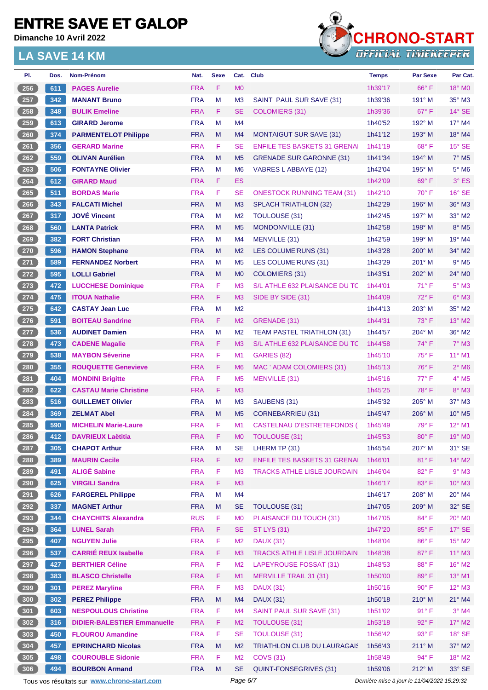**Dimanche 10 Avril 2022**



| PI.                          | Dos. | Nom-Prénom                                  | Nat.       | <b>Sexe</b> | Cat.           | <b>Club</b>                         | <b>Temps</b> | Par Sexe                                    | Par Cat.                    |
|------------------------------|------|---------------------------------------------|------------|-------------|----------------|-------------------------------------|--------------|---------------------------------------------|-----------------------------|
| 256                          | 611  | <b>PAGES Aurelie</b>                        | <b>FRA</b> | F           | M <sub>0</sub> |                                     | 1h39'17      | $66^{\circ}$ F                              | 18° MO                      |
| 257                          | 342  | <b>MANANT Bruno</b>                         | <b>FRA</b> | M           | M <sub>3</sub> | SAINT PAUL SUR SAVE (31)            | 1h39'36      | $191^\circ$ M                               | $35^\circ$ M3               |
| $258$                        | 348  | <b>BULIK Emeline</b>                        | <b>FRA</b> | F.          | SE             | COLOMIERS (31)                      | 1h39'36      | $67^\circ$ F                                | $14^\circ$ SE               |
| 259                          | 613  | <b>GIRARD Jerome</b>                        | <b>FRA</b> | м           | M <sub>4</sub> |                                     | 1h40'52      | $192^\circ$ M                               | $17^\circ$ M4               |
| $\left( 260 \right.$         | 374  | <b>PARMENTELOT Philippe</b>                 | <b>FRA</b> | M           | M4             | <b>MONTAIGUT SUR SAVE (31)</b>      | 1h41'12      | $193^\circ$ M                               | 18° M4                      |
| $261$                        | 356  | <b>GERARD Marine</b>                        | <b>FRA</b> | F           | <b>SE</b>      | <b>ENFILE TES BASKETS 31 GRENAL</b> | 1h41'19      | $68^{\circ}$ F                              | $15^\circ$ SE               |
| 262                          | 559  | <b>OLIVAN Aurélien</b>                      | <b>FRA</b> | M           | M <sub>5</sub> | <b>GRENADE SUR GARONNE (31)</b>     | 1h41'34      | $194^\circ$ M                               | $7°$ M <sub>5</sub>         |
| 263                          | 506  | <b>FONTAYNE Olivier</b>                     | <b>FRA</b> | м           | M <sub>6</sub> | VABRES L ABBAYE (12)                | 1h42'04      | $195^\circ$ M                               | $5^\circ$ M6                |
| 264                          | 612  | <b>GIRARD Maud</b>                          | <b>FRA</b> | F           | ES             |                                     | 1h42'09      | $69^\circ$ F                                | $3°$ ES                     |
| 265                          | 511  | <b>BORDAS Marie</b>                         | <b>FRA</b> | F           | SE             | <b>ONESTOCK RUNNING TEAM (31)</b>   | 1h42'10      | $70^\circ$ F                                | $16°$ SE                    |
| $266$                        | 343  | <b>FALCATI Michel</b>                       | <b>FRA</b> | M           | M <sub>3</sub> | <b>SPLACH TRIATHLON (32)</b>        | 1h42'29      | 196° M                                      | 36° M3                      |
| 267                          | 317  | <b>JOVÉ Vincent</b>                         | <b>FRA</b> | М           | M <sub>2</sub> | TOULOUSE (31)                       | 1h42'45      | $197^\circ$ M                               | 33° M2                      |
| 268                          | 560  | <b>LANTA Patrick</b>                        | <b>FRA</b> | M           | M <sub>5</sub> | <b>MONDONVILLE (31)</b>             | 1h42'58      | $198^\circ$ M                               | $8^\circ$ M <sub>5</sub>    |
| 269                          | 382  | <b>FORT Christian</b>                       | <b>FRA</b> | M           | M4             | MENVILLE (31)                       | 1h42'59      | $199^\circ$ M                               | 19° M4                      |
| 270                          | 596  | <b>HAMON Stephane</b>                       | <b>FRA</b> | M           | M <sub>2</sub> | LES COLUME'RUNS (31)                | 1h43'28      | $200^\circ$ M                               | 34° M2                      |
| $271$                        | 589  | <b>FERNANDEZ Norbert</b>                    | <b>FRA</b> | м           | M <sub>5</sub> | LES COLUME'RUNS (31)                | 1h43'29      | $201^\circ$ M                               | $9°$ M <sub>5</sub>         |
| 272                          | 595  | <b>LOLLI Gabriel</b>                        | <b>FRA</b> | M           | M <sub>0</sub> | <b>COLOMIERS (31)</b>               | 1h43'51      | $202^\circ$ M                               | $24^{\circ}$ M <sub>0</sub> |
| $273$                        | 472  | <b>LUCCHESE Dominique</b>                   | <b>FRA</b> | F           | M <sub>3</sub> | S/L ATHLE 632 PLAISANCE DU TC       | 1h44'01      | $71^{\circ}$ F                              | $5^\circ$ M3                |
| $274$                        | 475  | <b>ITOUA Nathalie</b>                       | <b>FRA</b> | F           | M <sub>3</sub> | SIDE BY SIDE (31)                   | 1h44'09      | $72^{\circ}$ F                              | $6^\circ$ M3                |
| $275$                        | 642  | <b>CASTAY Jean Luc</b>                      | <b>FRA</b> | м           | M <sub>2</sub> |                                     | 1h44'13      | 203° M                                      | 35° M2                      |
| $276$                        | 591  | <b>BOITEAU Sandrine</b>                     | <b>FRA</b> | F           | M <sub>2</sub> | <b>GRENADE (31)</b>                 | 1h44'31      | $73^\circ$ F                                | $13^\circ$ M2               |
| 277                          | 536  | <b>AUDINET Damien</b>                       | <b>FRA</b> | м           | M <sub>2</sub> | <b>TEAM PASTEL TRIATHLON (31)</b>   | 1h44'57      | $204^\circ$ M                               | 36° M2                      |
| $278$                        | 473  | <b>CADENE Magalie</b>                       | <b>FRA</b> | F.          | M <sub>3</sub> | S/L ATHLE 632 PLAISANCE DU TC       | 1h44'58      | $74^{\circ}$ F                              | $7^\circ$ M3                |
| 279                          | 538  | <b>MAYBON Séverine</b>                      | <b>FRA</b> | F           | M <sub>1</sub> | <b>GARIES (82)</b>                  | 1h45'10      | $75^{\circ}$ F                              | $11^{\circ}$ M1             |
| $\frac{280}{ }$              | 355  | <b>ROUQUETTE Genevieve</b>                  | <b>FRA</b> | F           | M <sub>6</sub> | MAC ' ADAM COLOMIERS (31)           | 1h45'13      | $76^{\circ}$ F                              | $2^{\circ}$ M <sub>6</sub>  |
| 281                          | 404  | <b>MONDINI Brigitte</b>                     | <b>FRA</b> | F           | M <sub>5</sub> | MENVILLE (31)                       | 1h45'16      | 77° F                                       | $4^\circ$ M <sub>5</sub>    |
| $282$                        | 622  | <b>CASTAU Marie Christine</b>               | <b>FRA</b> | F           | M <sub>3</sub> |                                     | 1h45'25      | 78°F                                        | $8^\circ$ M3                |
| $\boxed{283}$                | 516  | <b>GUILLEMET Olivier</b>                    | <b>FRA</b> | м           | M <sub>3</sub> | SAUBENS (31)                        | 1h45'32      | $205^\circ$ M                               | $37^\circ$ M3               |
| 284                          | 369  | <b>ZELMAT Abel</b>                          | <b>FRA</b> | M           | M <sub>5</sub> | <b>CORNEBARRIEU (31)</b>            | 1h45'47      | $206^\circ$ M                               | $10^{\circ}$ M <sub>5</sub> |
| 285                          | 590  | <b>MICHELIN Marie-Laure</b>                 | <b>FRA</b> | F           | M <sub>1</sub> | <b>CASTELNAU D'ESTRETEFONDS (</b>   | 1h45'49      | 79° F                                       | $12^{\circ}$ M1             |
| 286                          | 412  | <b>DAVRIEUX Laëtitia</b>                    | <b>FRA</b> | F           | M0             | TOULOUSE (31)                       | 1h45'53      | 80°F                                        | 19° MO                      |
| $\left( 287\right)$          | 305  | <b>CHAPOT Arthur</b>                        | <b>FRA</b> | M           | SE             | LHERM TP (31)                       | 1h45'54      | 207° M                                      | 31° SE                      |
| 288                          | 389  | <b>MAURIN Cecile</b>                        | <b>FRA</b> | F           | M <sub>2</sub> | <b>ENFILE TES BASKETS 31 GRENAL</b> | 1h46'01      | 81°F                                        | $14^{\circ}$ M2             |
| 289                          | 491  | <b>ALIGÉ Sabine</b>                         | <b>FRA</b> | F           | M <sub>3</sub> | <b>TRACKS ATHLE LISLE JOURDAIN</b>  | 1h46'04      | 82° F                                       | $9°$ M3                     |
| 290                          | 625  | <b>VIRGILI Sandra</b>                       | <b>FRA</b> | F           | M <sub>3</sub> |                                     | 1h46'17      | 83° F                                       | $10^{\circ}$ M3             |
| 291                          | 626  | <b>FARGEREL Philippe</b>                    | <b>FRA</b> | M           | M4             |                                     | 1h46'17      | 208° M                                      | 20° M4                      |
| 292                          | 337  | <b>MAGNET Arthur</b>                        | <b>FRA</b> | M           | <b>SE</b>      | <b>TOULOUSE (31)</b>                | 1h47'05      | 209° M                                      | 32° SE                      |
| 293                          | 344  | <b>CHAYCHITS Alexandra</b>                  | <b>RUS</b> | F           | M <sub>0</sub> | PLAISANCE DU TOUCH (31)             | 1h47'05      | 84° F                                       | $20^\circ$ MO               |
| 294                          | 364  | <b>LUNEL Sarah</b>                          | <b>FRA</b> | F           | <b>SE</b>      | <b>ST LYS (31)</b>                  | 1h47'20      | $85^{\circ}$ F                              | $17^\circ$ SE               |
| $\left[ 295\right]$          | 407  | <b>NGUYEN Julie</b>                         | <b>FRA</b> | F           | M <sub>2</sub> | <b>DAUX (31)</b>                    | 1h48'04      | 86°F                                        | 15° M2                      |
| 296                          | 537  | <b>CARRIÉ REUX Isabelle</b>                 | <b>FRA</b> | F           | M <sub>3</sub> | <b>TRACKS ATHLE LISLE JOURDAIN</b>  | 1h48'38      | 87°F                                        | $11^{\circ}$ M3             |
| 297                          | 427  | <b>BERTHIER Céline</b>                      | <b>FRA</b> | F           | M <sub>2</sub> | LAPEYROUSE FOSSAT (31)              | 1h48'53      | 88°F                                        | 16° M2                      |
| $\left( \right. 298 \right)$ | 383  | <b>BLASCO Christelle</b>                    | <b>FRA</b> | F           | M1             | <b>MERVILLE TRAIL 31 (31)</b>       | 1h50'00      | 89°F                                        | $13^{\circ}$ M1             |
| 299                          | 301  | <b>PEREZ Maryline</b>                       | <b>FRA</b> | F           | M <sub>3</sub> | <b>DAUX (31)</b>                    | 1h50'16      | $90^\circ$ F                                | 12° M3                      |
| 300                          | 302  | <b>PEREZ Philippe</b>                       | <b>FRA</b> | M           | M <sub>4</sub> | <b>DAUX (31)</b>                    | 1h50'18      | $210^\circ$ M                               | 21° M4                      |
| 301                          | 603  | <b>NESPOULOUS Christine</b>                 | <b>FRA</b> | F           | M <sub>4</sub> | SAINT PAUL SUR SAVE (31)            | 1h51'02      | 91° F                                       | $3°$ M4                     |
| 302                          | 316  | <b>DIDIER-BALESTIER Emmanuelle</b>          | <b>FRA</b> | F           | M <sub>2</sub> | TOULOUSE (31)                       | 1h53'18      | 92° F                                       | $17^\circ$ M2               |
| 303                          | 450  | <b>FLOUROU Amandine</b>                     | <b>FRA</b> | F           | <b>SE</b>      | <b>TOULOUSE (31)</b>                | 1h56'42      | 93° F                                       | $18^\circ$ SE               |
| $304$                        | 457  | <b>EPRINCHARD Nicolas</b>                   | <b>FRA</b> | M           | M <sub>2</sub> | <b>TRIATHLON CLUB DU LAURAGAIS</b>  | 1h56'43      | $211^\circ$ M                               | $37^\circ$ M2               |
| 305                          | 498  | <b>COUROUBLE Sidonie</b>                    | <b>FRA</b> | F           | M <sub>2</sub> | <b>COVS (31)</b>                    | 1h58'49      | 94° F                                       | 18° M2                      |
| $306$                        | 494  | <b>BOURBON Armand</b>                       | <b>FRA</b> | M           | <b>SE</b>      | QUINT-FONSEGRIVES (31)              | 1h59'06      | $212^\circ$ M                               | 33° SE                      |
|                              |      | Tous vos résultats sur www.chrono-start.com |            |             | Page 6/7       |                                     |              | Dernière mise à jour le 11/04/2022 15:29:32 |                             |